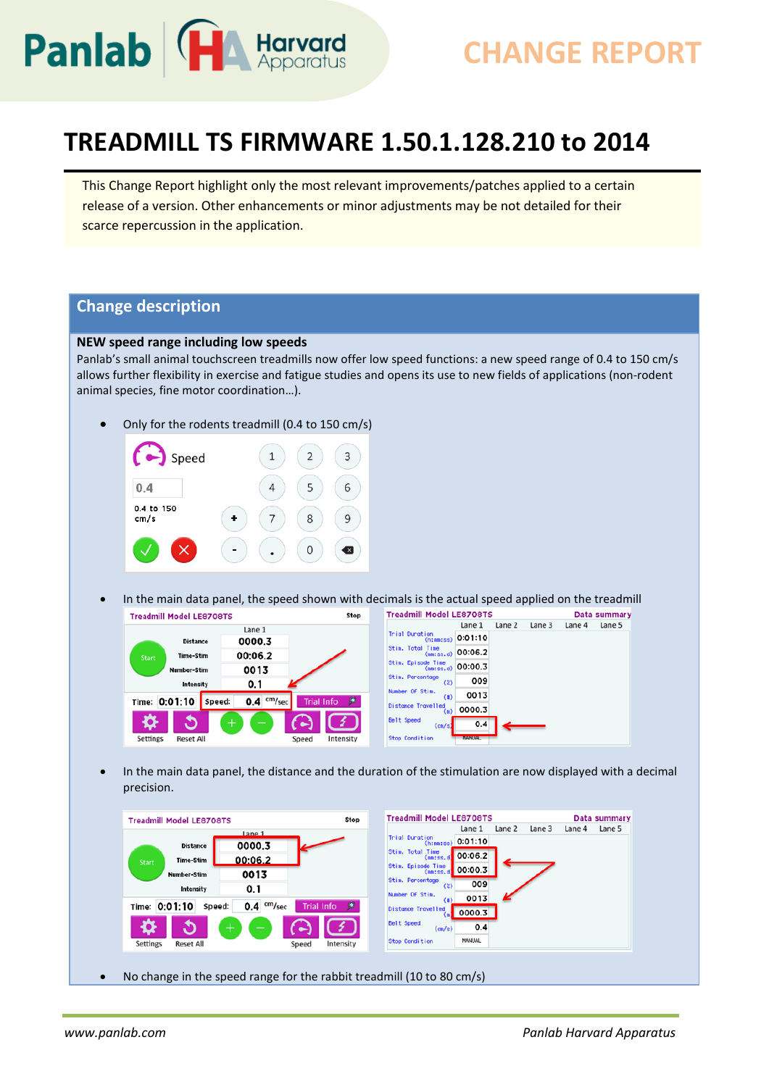

# **CHANGE REPORT**

## **TREADMILL TS FIRMWARE 1.50.1.128.210 to 2014**

This Change Report highlight only the most relevant improvements/patches applied to a certain release of a version. Other enhancements or minor adjustments may be not detailed for their scarce repercussion in the application.

### **Change description**

#### **NEW speed range including low speeds**

Panlab's small animal touchscreen treadmills now offer low speed functions: a new speed range of 0.4 to 150 cm/s allows further flexibility in exercise and fatigue studies and opens its use to new fields of applications (non-rodent animal species, fine motor coordination…).

• Only for the rodents treadmill (0.4 to 150 cm/s)



• In the main data panel, the speed shown with decimals is the actual speed applied on the treadmill



• In the main data panel, the distance and the duration of the stimulation are now displayed with a decimal precision.

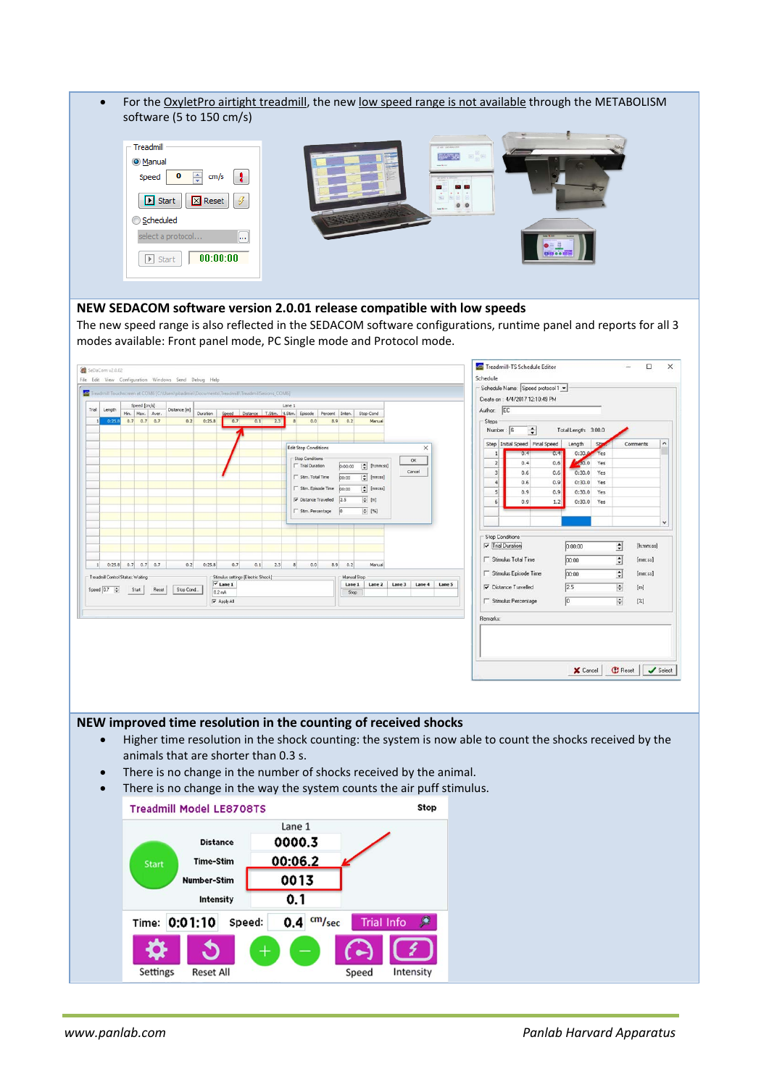